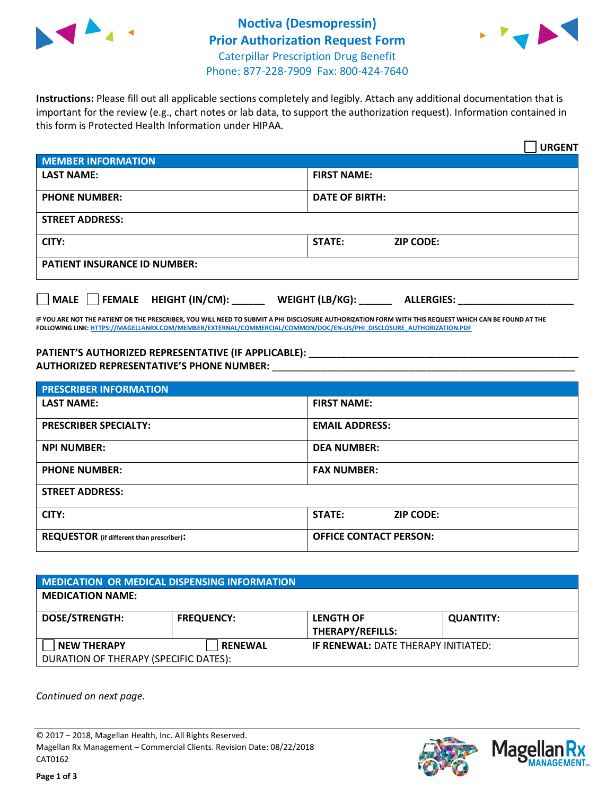



**Instructions:** Please fill out all applicable sections completely and legibly. Attach any additional documentation that is important for the review (e.g., chart notes or lab data, to support the authorization request). Information contained in this form is Protected Health Information under HIPAA.

|                                            | <b>URGENT</b>                        |  |
|--------------------------------------------|--------------------------------------|--|
| <b>MEMBER INFORMATION</b>                  |                                      |  |
| <b>LAST NAME:</b>                          | <b>FIRST NAME:</b>                   |  |
| <b>PHONE NUMBER:</b>                       | <b>DATE OF BIRTH:</b>                |  |
| <b>STREET ADDRESS:</b>                     |                                      |  |
| CITY:                                      | STATE:<br><b>ZIP CODE:</b>           |  |
| <b>PATIENT INSURANCE ID NUMBER:</b>        |                                      |  |
| FEMALE HEIGHT (IN/CM):<br>$ $ MALE $ $ $ $ | WEIGHT (LB/KG):<br><b>ALLERGIES:</b> |  |

**IF YOU ARE NOT THE PATIENT OR THE PRESCRIBER, YOU WILL NEED TO SUBMIT A PHI DISCLOSURE AUTHORIZATION FORM WITH THIS REQUEST WHICH CAN BE FOUND AT THE FOLLOWING LINK[: HTTPS://MAGELLANRX.COM/MEMBER/EXTERNAL/COMMERCIAL/COMMON/DOC/EN-US/PHI\\_DISCLOSURE\\_AUTHORIZATION.PDF](https://magellanrx.com/member/external/commercial/common/doc/en-us/PHI_Disclosure_Authorization.pdf)**

**PATIENT'S AUTHORIZED REPRESENTATIVE (IF APPLICABLE): \_\_\_\_\_\_\_\_\_\_\_\_\_\_\_\_\_\_\_\_\_\_\_\_\_\_\_\_\_\_\_\_\_\_\_\_\_\_\_\_\_\_\_\_\_\_\_\_\_ AUTHORIZED REPRESENTATIVE'S PHONE NUMBER:** \_\_\_\_\_\_\_\_\_\_\_\_\_\_\_\_\_\_\_\_\_\_\_\_\_\_\_\_\_\_\_\_\_\_\_\_\_\_\_\_\_\_\_\_\_\_\_\_\_\_\_\_\_\_\_

| <b>PRESCRIBER INFORMATION</b>             |                               |  |
|-------------------------------------------|-------------------------------|--|
| <b>LAST NAME:</b>                         | <b>FIRST NAME:</b>            |  |
| <b>PRESCRIBER SPECIALTY:</b>              | <b>EMAIL ADDRESS:</b>         |  |
| <b>NPI NUMBER:</b>                        | <b>DEA NUMBER:</b>            |  |
| <b>PHONE NUMBER:</b>                      | <b>FAX NUMBER:</b>            |  |
| <b>STREET ADDRESS:</b>                    |                               |  |
| CITY:                                     | STATE:<br><b>ZIP CODE:</b>    |  |
| REQUESTOR (if different than prescriber): | <b>OFFICE CONTACT PERSON:</b> |  |

| <b>MEDICATION OR MEDICAL DISPENSING INFORMATION</b> |                   |                                            |                  |  |  |
|-----------------------------------------------------|-------------------|--------------------------------------------|------------------|--|--|
| <b>MEDICATION NAME:</b>                             |                   |                                            |                  |  |  |
| <b>DOSE/STRENGTH:</b>                               | <b>FREQUENCY:</b> | <b>LENGTH OF</b>                           | <b>QUANTITY:</b> |  |  |
|                                                     |                   | <b>THERAPY/REFILLS:</b>                    |                  |  |  |
| <b>NEW THERAPY</b>                                  | <b>RENEWAL</b>    | <b>IF RENEWAL: DATE THERAPY INITIATED:</b> |                  |  |  |
| DURATION OF THERAPY (SPECIFIC DATES):               |                   |                                            |                  |  |  |

*Continued on next page.*

© 2017 – 2018, Magellan Health, Inc. All Rights Reserved. Magellan Rx Management – Commercial Clients. Revision Date: 08/22/2018 CAT0162



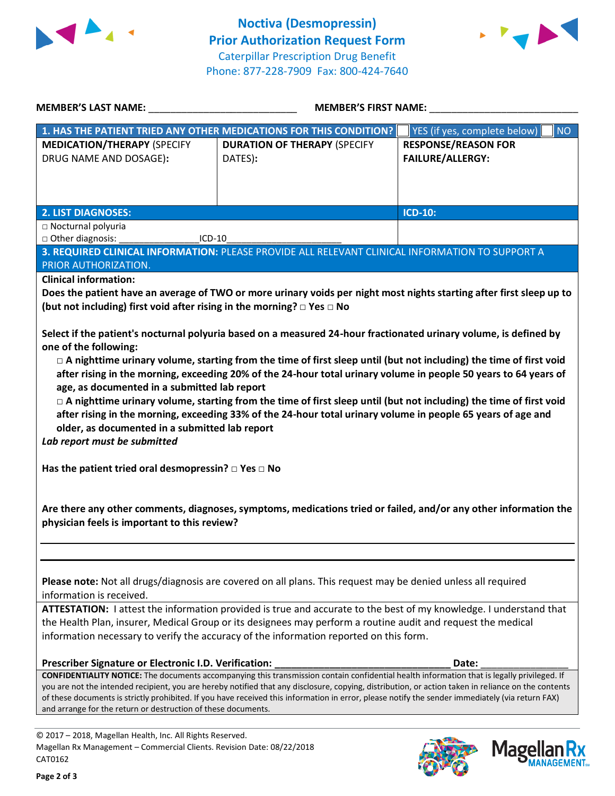



| MEMBER'S LAST NAME: NAME:                                                                                                                                                                                                      | MEMBER'S FIRST NAME:                                                                                                                                                                                                                                                                                                                                                                                                                                                                       |                                                                                                    |  |
|--------------------------------------------------------------------------------------------------------------------------------------------------------------------------------------------------------------------------------|--------------------------------------------------------------------------------------------------------------------------------------------------------------------------------------------------------------------------------------------------------------------------------------------------------------------------------------------------------------------------------------------------------------------------------------------------------------------------------------------|----------------------------------------------------------------------------------------------------|--|
| <b>MEDICATION/THERAPY (SPECIFY</b><br>DRUG NAME AND DOSAGE):                                                                                                                                                                   | 1. HAS THE PATIENT TRIED ANY OTHER MEDICATIONS FOR THIS CONDITION?<br><b>DURATION OF THERAPY (SPECIFY</b><br>DATES):                                                                                                                                                                                                                                                                                                                                                                       | YES (if yes, complete below)<br><b>NO</b><br><b>RESPONSE/REASON FOR</b><br><b>FAILURE/ALLERGY:</b> |  |
| <b>2. LIST DIAGNOSES:</b>                                                                                                                                                                                                      |                                                                                                                                                                                                                                                                                                                                                                                                                                                                                            | <b>ICD-10:</b>                                                                                     |  |
| □ Nocturnal polyuria                                                                                                                                                                                                           |                                                                                                                                                                                                                                                                                                                                                                                                                                                                                            |                                                                                                    |  |
| □ Other diagnosis:                                                                                                                                                                                                             | $ICD-10$                                                                                                                                                                                                                                                                                                                                                                                                                                                                                   |                                                                                                    |  |
| PRIOR AUTHORIZATION.<br><b>Clinical information:</b><br>(but not including) first void after rising in the morning? $\square$ Yes $\square$ No                                                                                 | 3. REQUIRED CLINICAL INFORMATION: PLEASE PROVIDE ALL RELEVANT CLINICAL INFORMATION TO SUPPORT A<br>Does the patient have an average of TWO or more urinary voids per night most nights starting after first sleep up to<br>Select if the patient's nocturnal polyuria based on a measured 24-hour fractionated urinary volume, is defined by                                                                                                                                               |                                                                                                    |  |
| one of the following:<br>age, as documented in a submitted lab report<br>older, as documented in a submitted lab report<br>Lab report must be submitted<br>Has the patient tried oral desmopressin? $\square$ Yes $\square$ No | $\Box$ A nighttime urinary volume, starting from the time of first sleep until (but not including) the time of first void<br>after rising in the morning, exceeding 20% of the 24-hour total urinary volume in people 50 years to 64 years of<br>$\Box$ A nighttime urinary volume, starting from the time of first sleep until (but not including) the time of first void<br>after rising in the morning, exceeding 33% of the 24-hour total urinary volume in people 65 years of age and |                                                                                                    |  |
| physician feels is important to this review?                                                                                                                                                                                   | Are there any other comments, diagnoses, symptoms, medications tried or failed, and/or any other information the                                                                                                                                                                                                                                                                                                                                                                           |                                                                                                    |  |
| information is received.                                                                                                                                                                                                       | Please note: Not all drugs/diagnosis are covered on all plans. This request may be denied unless all required<br>ATTESTATION: I attest the information provided is true and accurate to the best of my knowledge. I understand that<br>the Health Plan, insurer, Medical Group or its designees may perform a routine audit and request the medical<br>information necessary to verify the accuracy of the information reported on this form.                                              |                                                                                                    |  |
| Prescriber Signature or Electronic I.D. Verification:                                                                                                                                                                          |                                                                                                                                                                                                                                                                                                                                                                                                                                                                                            | Date:                                                                                              |  |
| and arrange for the return or destruction of these documents.                                                                                                                                                                  | CONFIDENTIALITY NOTICE: The documents accompanying this transmission contain confidential health information that is legally privileged. If<br>you are not the intended recipient, you are hereby notified that any disclosure, copying, distribution, or action taken in reliance on the contents<br>of these documents is strictly prohibited. If you have received this information in error, please notify the sender immediately (via return FAX)                                     |                                                                                                    |  |
| © 2017 - 2018, Magellan Health, Inc. All Rights Reserved.<br>Magellan Rx Management - Commercial Clients. Revision Date: 08/22/2018<br>CAT0162                                                                                 |                                                                                                                                                                                                                                                                                                                                                                                                                                                                                            | <b>Mage</b>                                                                                        |  |